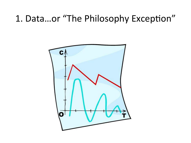### 1. Data...or "The Philosophy Exception"

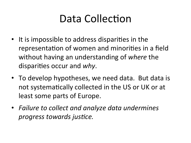## Data Collection

- It is impossible to address disparities in the representation of women and minorities in a field without having an understanding of *where* the disparities occur and *why*.
- To develop hypotheses, we need data. But data is not systematically collected in the US or UK or at least some parts of Europe.
- Failure to collect and analyze data undermines *progress towards justice.*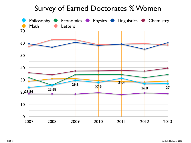### Survey of Earned Doctorates % Women

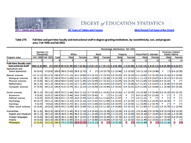### DIGEST of EDUCATION STATISTICS All Years of Tables and Figures **Most Recent Full Issue of the Digest** 2011 Tables and Figures

### **Table 270.** Full-time and part-time faculty and instructional staff in degree-granting institutions, by race/ethnicity, sex, and program area: Fall 1998 and fall 2003

|                                                     |                                                                                                                                         |                                                                                                                                            |       |  |      |  |        |  |             |  |          |  | Percentage distribution, fall 2003 |                        |           |  |                   |  |                                                     |                                   |                    |        |                                                                     |
|-----------------------------------------------------|-----------------------------------------------------------------------------------------------------------------------------------------|--------------------------------------------------------------------------------------------------------------------------------------------|-------|--|------|--|--------|--|-------------|--|----------|--|------------------------------------|------------------------|-----------|--|-------------------|--|-----------------------------------------------------|-----------------------------------|--------------------|--------|---------------------------------------------------------------------|
|                                                     | Number (in<br>thousands)                                                                                                                |                                                                                                                                            | White |  |      |  | Black  |  |             |  | Hispanic |  |                                    | Asian/Pacific Islander |           |  |                   |  |                                                     | American Indian/<br>Alaska Native |                    |        |                                                                     |
| Program area                                        |                                                                                                                                         | Fall 1998 Fall 2003                                                                                                                        | Total |  | Male |  | Female |  | <b>Male</b> |  | Female   |  | <b>Male</b>                        |                        | Female    |  | <b>Male</b>       |  | Female                                              |                                   | <b>Male</b>        |        | Female                                                              |
|                                                     |                                                                                                                                         |                                                                                                                                            |       |  |      |  |        |  |             |  |          |  |                                    |                        | 10        |  | 11                |  | 12                                                  |                                   | 13                 |        | 14                                                                  |
| <b>Full-time faculty and</b><br>instructional staff | 560 (4.8) 682 (#) 100.0 49.6 (0.39) 30.7 (0.36) 2.9 (0.15) 2.7 (0.13) 2.0 (0.09) 1.5 (0.08) 6.3 (0.15) 2.8 (0.15) 0.8 (0.08) 0.6 (0.07) |                                                                                                                                            |       |  |      |  |        |  |             |  |          |  |                                    |                        |           |  |                   |  |                                                     |                                   |                    |        |                                                                     |
| Agriculture and<br>home economics                   |                                                                                                                                         | 10(0.8) 17(0.8) 100.0 58.9 (3.03) 28.9 (2.72) $\pm$ ( $\pm$ ) 1.8 (0.73) 1.2 (0.46) 1.3 (0.52) 3.6 (1.13) 2.8 (0.86)                       |       |  |      |  |        |  |             |  |          |  |                                    |                        |           |  |                   |  |                                                     | ÷                                 |                    |        | $(1)$ 0.6 $(0.35)$                                                  |
| Natural sciences                                    |                                                                                                                                         | 111 (2.1) 151 (2.5) 100.0 57.3 (1.12) 20.3 (0.80) 2.5 (0.31) 1.5 (0.22) 2.0 (0.20) 0.9 (0.15) 11.2 (0.65) 3.3 (0.35) 0.6 (0.16) 0.3 (0.09) |       |  |      |  |        |  |             |  |          |  |                                    |                        |           |  |                   |  |                                                     |                                   |                    |        |                                                                     |
| <b>Biological sciences</b>                          | 40(1.3)                                                                                                                                 | 59(1.7) 100.0 55.4 (1.69) 21.6 (1.30) 2.2 (0.48) 1.2 (0.28) 1.9 (0.39) 1.2 (0.31) 11.1 (1.13) 4.8 (0.67) 0.3 (0.17) 0.3 (0.12)             |       |  |      |  |        |  |             |  |          |  |                                    |                        |           |  |                   |  |                                                     |                                   |                    |        |                                                                     |
| Physical sciences                                   | 27(0.8)                                                                                                                                 | 36(1.3) 100.0 68.9 (2.03) 12.8 (1.50) 2.6 (0.59) 0.7 (0.31) 1.4 (0.29)                                                                     |       |  |      |  |        |  |             |  |          |  |                                    |                        |           |  |                   |  | $0.6$ (0.19) 9.4 (1.05) 3.0 (0.64) 0.4 (0.33) $\pm$ |                                   |                    |        | $^{(+)}$                                                            |
| Mathematics                                         | 26(1.0)                                                                                                                                 | 32(1.3) 100.0 52.2 (2.15) 22.7 (1.84) 3.8 (0.67) 2.6 (0.67) 2.8 (0.67)                                                                     |       |  |      |  |        |  |             |  |          |  |                                    |                        |           |  |                   |  |                                                     |                                   |                    |        | $0.7$ $(0.28)$ 11.7 $(1.41)$ 1.8 $(0.67)$ 1.2 $(0.56)$ 0.3 $(0.18)$ |
| <b>Computer sciences</b>                            | 17 (0.9)                                                                                                                                | 24 (1.2) 100.0 51.0 (2.74) 25.1 (2.15) 1.5 (0.59) 2.0 (0.58) 2.3 (0.52)                                                                    |       |  |      |  |        |  |             |  |          |  |                                    |                        |           |  |                   |  |                                                     |                                   |                    |        | $0.9(0.31)$ 13.5 (1.69) 2.0 (0.66) 1.1 (0.48) 0.6 (0.36)            |
| Social sciences                                     | 58(1.3)                                                                                                                                 | 70(1.8) 100.0 52.2 (1.46) 29.0 (1.23) 3.7 (0.45) 4.1 (0.81) 2.6 (0.36) 1.7 (0.35) 3.4 (0.58) 1.9 (0.48) 0.9 (0.25) 0.6 (0.15)              |       |  |      |  |        |  |             |  |          |  |                                    |                        |           |  |                   |  |                                                     |                                   |                    |        |                                                                     |
| <b>Economics</b>                                    | 9(0.6)                                                                                                                                  | $12(0.7)$ 100.0 62.3 (3.46) 18.0 (3.09) 3.5 (0.92) $\pm$ (+) 3.1 (1.13)                                                                    |       |  |      |  |        |  |             |  |          |  |                                    | $+$                    | $(+)$     |  |                   |  | 8.9(2.18)3.2(2.24)                                  | $\ddot{\phantom{1}}$              | $^{(+)}$           |        | $^{(+)}$                                                            |
| Political science                                   | 8(0.5)                                                                                                                                  | 10(0.7) 100.0 67.1 (3.74) 16.8 (2.59) 2.8 (1.19) 3.2 (1.62) 5.1 (1.57)                                                                     |       |  |      |  |        |  |             |  |          |  |                                    | $+$                    | $(+)$     |  | $2.9(1.31)$ $\pm$ |  | $^{(+)}$                                            |                                   | $^{(+)}$           | ÷      | $(+)$                                                               |
| Psychology                                          | 20(0.7)                                                                                                                                 | 25(1.1) 100.0 46.3 (2.33) 37.8 (2.16) 3.4 (1.01) 5.0 (1.99) 1.6 (0.42)                                                                     |       |  |      |  |        |  |             |  |          |  |                                    |                        | 2.7(0.70) |  |                   |  | 1.1 $(0.49)$ 1.2 $(0.39)$ 0.6 $(0.34)$              |                                   |                    | $\ast$ | $(+)$                                                               |
| Sociology                                           | 9(0.4)                                                                                                                                  | $9(0.6)$ 100.0 49.9 (3.72) 30.1 (3.42) 3.9 (1.69) 8.0 (2.43) 3.0 (0.97) 1.4 (0.92)                                                         |       |  |      |  |        |  |             |  |          |  |                                    |                        |           |  |                   |  | $1.1(0.89) 1.3(0.75)$ $\uparrow$                    |                                   | $(+)$              |        | $(+)$                                                               |
| Other social sciences                               | 13(0.6)                                                                                                                                 | 14 (0.9) 100.0 45.2 (3.59) 30.5 (3.09) 4.8 (1.33) 3.9 (1.28) 1.9 (0.80)                                                                    |       |  |      |  |        |  |             |  |          |  |                                    |                        |           |  |                   |  |                                                     |                                   |                    |        | $2.4$ (0.71) 4.7 (1.50) 3.7 (1.22) 1.9 (0.75) 1.1 (0.54)            |
| <b>Humanities</b>                                   | 81(1.8)                                                                                                                                 | 90(2.4) 100.0 47.3 (1.40) 35.0 (1.33) 2.4 (0.43) 2.6 (0.39) 2.2 (0.24) 2.9 (0.31) 2.9 (0.48) 2.9 (0.54) 0.9 (0.23) 0.9 (0.25)              |       |  |      |  |        |  |             |  |          |  |                                    |                        |           |  |                   |  |                                                     |                                   |                    |        |                                                                     |
| English and literature                              | 40(1.2)                                                                                                                                 | 39(1.5) 100.0 38.8 (1.90) 46.0 (2.10) 2.1 (0.45) 4.5 (0.70) 1.3 (0.27) 1.9 (0.50) 0.8 (0.34) 2.7 (0.87) 0.5 (0.18) 1.4 (0.39)              |       |  |      |  |        |  |             |  |          |  |                                    |                        |           |  |                   |  |                                                     |                                   |                    |        |                                                                     |
| Foreign languages                                   | 15(0.8)                                                                                                                                 | 20(1.0) 100.0 36.2 (1.86) 36.7 (2.07) 2.7 (0.89) 0.9 (0.46) 5.1 (0.75) 8.3 (1.07) 4.0 (1.11) 4.5 (1.01) 0.7 (0.43) 0.8 (0.44)              |       |  |      |  |        |  |             |  |          |  |                                    |                        |           |  |                   |  |                                                     |                                   |                    |        |                                                                     |
| <b>History</b>                                      | 14(0.6)                                                                                                                                 | 18(1.0) 100.0 59.4 (2.90) 23.0 (2.12) 2.7 (0.80) 2.4 (0.94) 1.9 (0.71) 1.2 (0.52) 5.0 (1.49) 3.2 (0.91) 1.0 (0.45)                         |       |  |      |  |        |  |             |  |          |  |                                    |                        |           |  |                   |  |                                                     |                                   |                    |        | $(+)$                                                               |
| Philosophy                                          | 12(0.8)                                                                                                                                 | $13(1.0)$ 100.0 72.3 (3.55) 16.6 (2.33) 2.3 (1.11) $\uparrow$                                                                              |       |  |      |  |        |  |             |  |          |  | $(+)$ 1.0 $(0.35)$                 | $\ddot{\bullet}$       | $(+)$     |  | 4.0(1.49)         |  |                                                     |                                   | $(+)$ 2.0 $(1.20)$ |        | $(+)$                                                               |
|                                                     |                                                                                                                                         |                                                                                                                                            |       |  |      |  |        |  |             |  |          |  |                                    |                        |           |  |                   |  |                                                     |                                   |                    |        |                                                                     |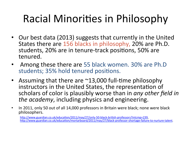## Racial Minorities in Philosophy

- Our best data (2013) suggests that currently in the United States there are 156 blacks in philosophy, 20% are Ph.D. students, 20% are in tenure-track positions, 50% are tenured.
- Among these there are 55 black women. 30% are Ph.D students; 35% hold tenured positions.
- Assuming that there are  $\sim$ 13,000 full-time philosophy instructors in the United States, the representation of scholars of color is plausibly worse than in *any other field in the academy*, including physics and engineering.
- In 2011, only 50 out of all 14,000 professors in Britain were black; none were black philosophers.

http://www.guardian.co.uk/education/2011/may/27/only-50-black-british-professors?intcmp=239, http://www.guardian.co.uk/education/mortarboard/2011/may/27/black-professor-shortage-failure-to-nurture-talent.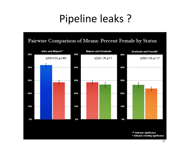## Pipeline leaks?

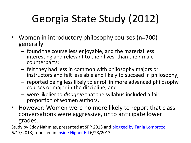# Georgia State Study (2012)

- Women in introductory philosophy courses (n=700) generally
	- $-$  found the course less enjoyable, and the material less interesting and relevant to their lives, than their male counterparts;
	- $-$  felt they had less in common with philosophy majors or instructors and felt less able and likely to succeed in philosophy;
	- $-$  reported being less likely to enroll in more advanced philosophy courses or major in the discipline, and
	- $-$  were likelier to *disagree* that the syllabus included a fair proportion of women authors.
- However: Women were no more likely to report that class conversations were aggressive, or to anticipate lower grades.

Study by Eddy Nahmias, presented at SPP 2013 and blogged by Tania Lombrozo  $6/17/2013$ ; reported in Inside Higher Ed  $6/28/2013$